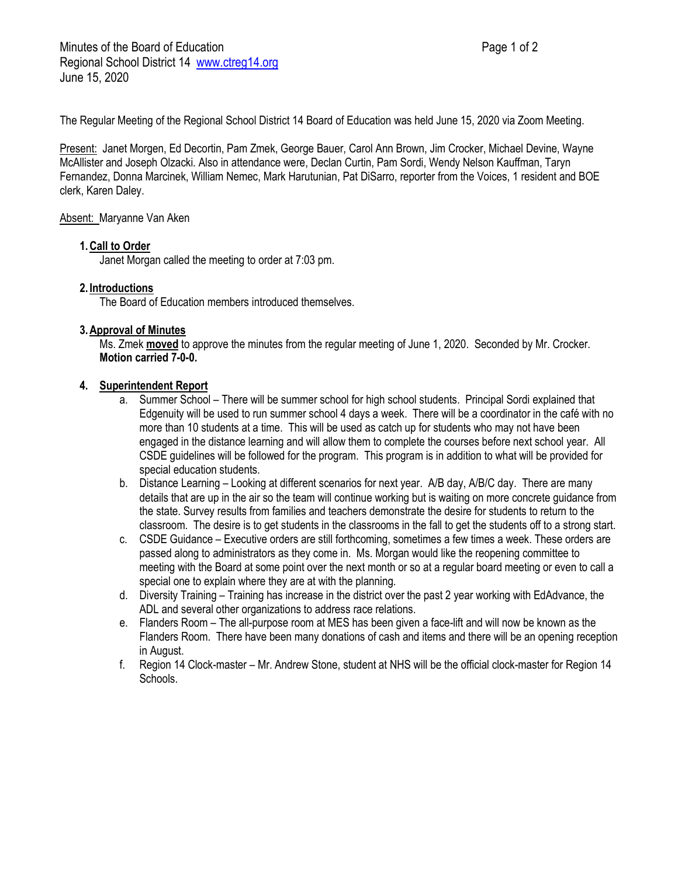The Regular Meeting of the Regional School District 14 Board of Education was held June 15, 2020 via Zoom Meeting.

Present: Janet Morgen, Ed Decortin, Pam Zmek, George Bauer, Carol Ann Brown, Jim Crocker, Michael Devine, Wayne McAllister and Joseph Olzacki. Also in attendance were, Declan Curtin, Pam Sordi, Wendy Nelson Kauffman, Taryn Fernandez, Donna Marcinek, William Nemec, Mark Harutunian, Pat DiSarro, reporter from the Voices, 1 resident and BOE clerk, Karen Daley.

### Absent: Maryanne Van Aken

## **1.Call to Order**

Janet Morgan called the meeting to order at 7:03 pm.

### **2. Introductions**

The Board of Education members introduced themselves.

### **3.Approval of Minutes**

Ms. Zmek **moved** to approve the minutes from the regular meeting of June 1, 2020. Seconded by Mr. Crocker. **Motion carried 7-0-0.**

### **4. Superintendent Report**

- a. Summer School There will be summer school for high school students. Principal Sordi explained that Edgenuity will be used to run summer school 4 days a week. There will be a coordinator in the café with no more than 10 students at a time. This will be used as catch up for students who may not have been engaged in the distance learning and will allow them to complete the courses before next school year. All CSDE guidelines will be followed for the program. This program is in addition to what will be provided for special education students.
- b. Distance Learning Looking at different scenarios for next year. A/B day, A/B/C day. There are many details that are up in the air so the team will continue working but is waiting on more concrete guidance from the state. Survey results from families and teachers demonstrate the desire for students to return to the classroom. The desire is to get students in the classrooms in the fall to get the students off to a strong start.
- c. CSDE Guidance Executive orders are still forthcoming, sometimes a few times a week. These orders are passed along to administrators as they come in. Ms. Morgan would like the reopening committee to meeting with the Board at some point over the next month or so at a regular board meeting or even to call a special one to explain where they are at with the planning.
- d. Diversity Training Training has increase in the district over the past 2 year working with EdAdvance, the ADL and several other organizations to address race relations.
- e. Flanders Room The all-purpose room at MES has been given a face-lift and will now be known as the Flanders Room. There have been many donations of cash and items and there will be an opening reception in August.
- f. Region 14 Clock-master Mr. Andrew Stone, student at NHS will be the official clock-master for Region 14 Schools.